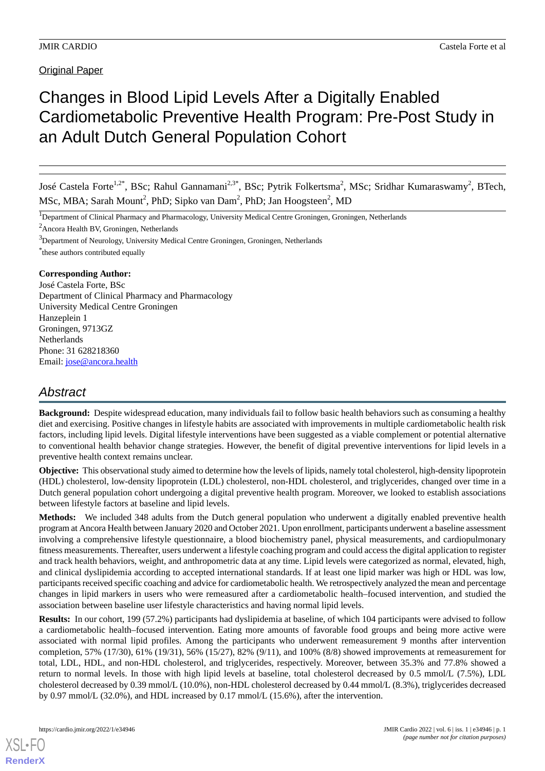# Changes in Blood Lipid Levels After a Digitally Enabled Cardiometabolic Preventive Health Program: Pre-Post Study in an Adult Dutch General Population Cohort

José Castela Forte<sup>1,2\*</sup>, BSc; Rahul Gannamani<sup>2,3\*</sup>, BSc; Pytrik Folkertsma<sup>2</sup>, MSc; Sridhar Kumaraswamy<sup>2</sup>, BTech, MSc, MBA; Sarah Mount<sup>2</sup>, PhD; Sipko van Dam<sup>2</sup>, PhD; Jan Hoogsteen<sup>2</sup>, MD

<sup>1</sup>Department of Clinical Pharmacy and Pharmacology, University Medical Centre Groningen, Groningen, Netherlands

 $^{2}$ Ancora Health BV, Groningen, Netherlands

<sup>3</sup>Department of Neurology, University Medical Centre Groningen, Groningen, Netherlands

\* these authors contributed equally

### **Corresponding Author:**

José Castela Forte, BSc Department of Clinical Pharmacy and Pharmacology University Medical Centre Groningen Hanzeplein 1 Groningen, 9713GZ **Netherlands** Phone: 31 628218360 Email: [jose@ancora.health](mailto:jose@ancora.health)

# *Abstract*

**Background:** Despite widespread education, many individuals fail to follow basic health behaviors such as consuming a healthy diet and exercising. Positive changes in lifestyle habits are associated with improvements in multiple cardiometabolic health risk factors, including lipid levels. Digital lifestyle interventions have been suggested as a viable complement or potential alternative to conventional health behavior change strategies. However, the benefit of digital preventive interventions for lipid levels in a preventive health context remains unclear.

**Objective:** This observational study aimed to determine how the levels of lipids, namely total cholesterol, high-density lipoprotein (HDL) cholesterol, low-density lipoprotein (LDL) cholesterol, non-HDL cholesterol, and triglycerides, changed over time in a Dutch general population cohort undergoing a digital preventive health program. Moreover, we looked to establish associations between lifestyle factors at baseline and lipid levels.

**Methods:** We included 348 adults from the Dutch general population who underwent a digitally enabled preventive health program at Ancora Health between January 2020 and October 2021. Upon enrollment, participants underwent a baseline assessment involving a comprehensive lifestyle questionnaire, a blood biochemistry panel, physical measurements, and cardiopulmonary fitness measurements. Thereafter, users underwent a lifestyle coaching program and could access the digital application to register and track health behaviors, weight, and anthropometric data at any time. Lipid levels were categorized as normal, elevated, high, and clinical dyslipidemia according to accepted international standards. If at least one lipid marker was high or HDL was low, participants received specific coaching and advice for cardiometabolic health. We retrospectively analyzed the mean and percentage changes in lipid markers in users who were remeasured after a cardiometabolic health–focused intervention, and studied the association between baseline user lifestyle characteristics and having normal lipid levels.

**Results:** In our cohort, 199 (57.2%) participants had dyslipidemia at baseline, of which 104 participants were advised to follow a cardiometabolic health–focused intervention. Eating more amounts of favorable food groups and being more active were associated with normal lipid profiles. Among the participants who underwent remeasurement 9 months after intervention completion, 57% (17/30), 61% (19/31), 56% (15/27), 82% (9/11), and 100% (8/8) showed improvements at remeasurement for total, LDL, HDL, and non-HDL cholesterol, and triglycerides, respectively. Moreover, between 35.3% and 77.8% showed a return to normal levels. In those with high lipid levels at baseline, total cholesterol decreased by 0.5 mmol/L (7.5%), LDL cholesterol decreased by 0.39 mmol/L (10.0%), non-HDL cholesterol decreased by 0.44 mmol/L (8.3%), triglycerides decreased by 0.97 mmol/L (32.0%), and HDL increased by 0.17 mmol/L (15.6%), after the intervention.

[XSL](http://www.w3.org/Style/XSL)•FO **[RenderX](http://www.renderx.com/)**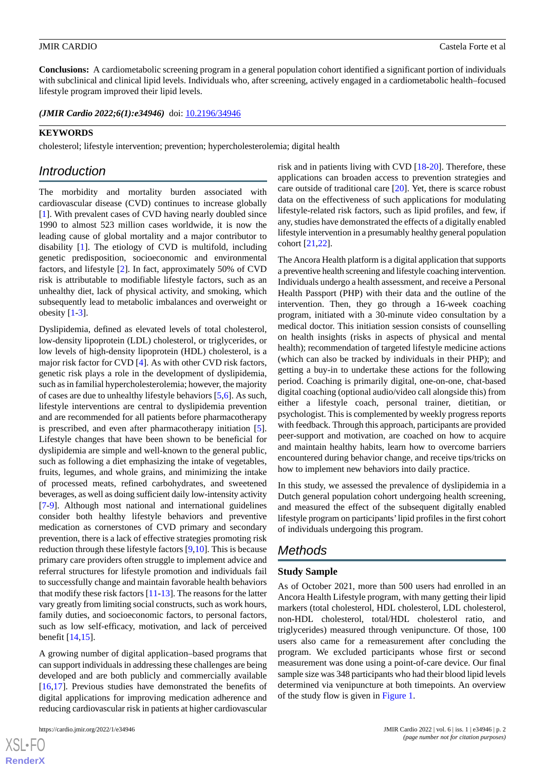**Conclusions:** A cardiometabolic screening program in a general population cohort identified a significant portion of individuals with subclinical and clinical lipid levels. Individuals who, after screening, actively engaged in a cardiometabolic health–focused lifestyle program improved their lipid levels.

(JMIR Cardio 2022;6(1):e34946) doi: [10.2196/34946](http://dx.doi.org/10.2196/34946)

### **KEYWORDS**

cholesterol; lifestyle intervention; prevention; hypercholesterolemia; digital health

# *Introduction*

The morbidity and mortality burden associated with cardiovascular disease (CVD) continues to increase globally [[1\]](#page-9-0). With prevalent cases of CVD having nearly doubled since 1990 to almost 523 million cases worldwide, it is now the leading cause of global mortality and a major contributor to disability [[1\]](#page-9-0). The etiology of CVD is multifold, including genetic predisposition, socioeconomic and environmental factors, and lifestyle [\[2](#page-9-1)]. In fact, approximately 50% of CVD risk is attributable to modifiable lifestyle factors, such as an unhealthy diet, lack of physical activity, and smoking, which subsequently lead to metabolic imbalances and overweight or obesity  $[1-3]$  $[1-3]$  $[1-3]$ .

Dyslipidemia, defined as elevated levels of total cholesterol, low-density lipoprotein (LDL) cholesterol, or triglycerides, or low levels of high-density lipoprotein (HDL) cholesterol, is a major risk factor for CVD [[4\]](#page-9-3). As with other CVD risk factors, genetic risk plays a role in the development of dyslipidemia, such as in familial hypercholesterolemia; however, the majority of cases are due to unhealthy lifestyle behaviors [\[5](#page-9-4),[6\]](#page-9-5). As such, lifestyle interventions are central to dyslipidemia prevention and are recommended for all patients before pharmacotherapy is prescribed, and even after pharmacotherapy initiation [[5\]](#page-9-4). Lifestyle changes that have been shown to be beneficial for dyslipidemia are simple and well-known to the general public, such as following a diet emphasizing the intake of vegetables, fruits, legumes, and whole grains, and minimizing the intake of processed meats, refined carbohydrates, and sweetened beverages, as well as doing sufficient daily low-intensity activity [[7](#page-9-6)[-9](#page-9-7)]. Although most national and international guidelines consider both healthy lifestyle behaviors and preventive medication as cornerstones of CVD primary and secondary prevention, there is a lack of effective strategies promoting risk reduction through these lifestyle factors [[9,](#page-9-7)[10](#page-9-8)]. This is because primary care providers often struggle to implement advice and referral structures for lifestyle promotion and individuals fail to successfully change and maintain favorable health behaviors that modify these risk factors [\[11](#page-9-9)-[13\]](#page-9-10). The reasons for the latter vary greatly from limiting social constructs, such as work hours, family duties, and socioeconomic factors, to personal factors, such as low self-efficacy, motivation, and lack of perceived benefit [[14](#page-10-0)[,15](#page-10-1)].

A growing number of digital application–based programs that can support individuals in addressing these challenges are being developed and are both publicly and commercially available [[16](#page-10-2)[,17](#page-10-3)]. Previous studies have demonstrated the benefits of digital applications for improving medication adherence and reducing cardiovascular risk in patients at higher cardiovascular

 $XS$  • FO **[RenderX](http://www.renderx.com/)** risk and in patients living with CVD [[18-](#page-10-4)[20](#page-10-5)]. Therefore, these applications can broaden access to prevention strategies and care outside of traditional care [[20\]](#page-10-5). Yet, there is scarce robust data on the effectiveness of such applications for modulating lifestyle-related risk factors, such as lipid profiles, and few, if any, studies have demonstrated the effects of a digitally enabled lifestyle intervention in a presumably healthy general population cohort [\[21](#page-10-6),[22\]](#page-10-7).

The Ancora Health platform is a digital application that supports a preventive health screening and lifestyle coaching intervention. Individuals undergo a health assessment, and receive a Personal Health Passport (PHP) with their data and the outline of the intervention. Then, they go through a 16-week coaching program, initiated with a 30-minute video consultation by a medical doctor. This initiation session consists of counselling on health insights (risks in aspects of physical and mental health); recommendation of targeted lifestyle medicine actions (which can also be tracked by individuals in their PHP); and getting a buy-in to undertake these actions for the following period. Coaching is primarily digital, one-on-one, chat-based digital coaching (optional audio/video call alongside this) from either a lifestyle coach, personal trainer, dietitian, or psychologist. This is complemented by weekly progress reports with feedback. Through this approach, participants are provided peer-support and motivation, are coached on how to acquire and maintain healthy habits, learn how to overcome barriers encountered during behavior change, and receive tips/tricks on how to implement new behaviors into daily practice.

In this study, we assessed the prevalence of dyslipidemia in a Dutch general population cohort undergoing health screening, and measured the effect of the subsequent digitally enabled lifestyle program on participants'lipid profiles in the first cohort of individuals undergoing this program.

# *Methods*

### **Study Sample**

As of October 2021, more than 500 users had enrolled in an Ancora Health Lifestyle program, with many getting their lipid markers (total cholesterol, HDL cholesterol, LDL cholesterol, non-HDL cholesterol, total/HDL cholesterol ratio, and triglycerides) measured through venipuncture. Of those, 100 users also came for a remeasurement after concluding the program. We excluded participants whose first or second measurement was done using a point-of-care device. Our final sample size was 348 participants who had their blood lipid levels determined via venipuncture at both timepoints. An overview of the study flow is given in [Figure 1](#page-2-0).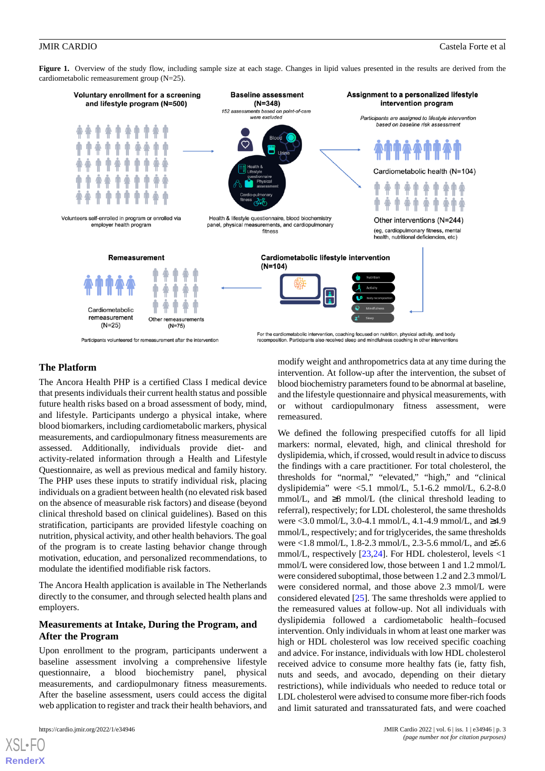<span id="page-2-0"></span>Figure 1. Overview of the study flow, including sample size at each stage. Changes in lipid values presented in the results are derived from the cardiometabolic remeasurement group (N=25).



### **The Platform**

The Ancora Health PHP is a certified Class I medical device that presents individuals their current health status and possible future health risks based on a broad assessment of body, mind, and lifestyle. Participants undergo a physical intake, where blood biomarkers, including cardiometabolic markers, physical measurements, and cardiopulmonary fitness measurements are assessed. Additionally, individuals provide diet- and activity-related information through a Health and Lifestyle Questionnaire, as well as previous medical and family history. The PHP uses these inputs to stratify individual risk, placing individuals on a gradient between health (no elevated risk based on the absence of measurable risk factors) and disease (beyond clinical threshold based on clinical guidelines). Based on this stratification, participants are provided lifestyle coaching on nutrition, physical activity, and other health behaviors. The goal of the program is to create lasting behavior change through motivation, education, and personalized recommendations, to modulate the identified modifiable risk factors.

The Ancora Health application is available in The Netherlands directly to the consumer, and through selected health plans and employers.

### **Measurements at Intake, During the Program, and After the Program**

Upon enrollment to the program, participants underwent a baseline assessment involving a comprehensive lifestyle questionnaire, a blood biochemistry panel, physical measurements, and cardiopulmonary fitness measurements. After the baseline assessment, users could access the digital web application to register and track their health behaviors, and

[XSL](http://www.w3.org/Style/XSL)•FO **[RenderX](http://www.renderx.com/)**

modify weight and anthropometrics data at any time during the intervention. At follow-up after the intervention, the subset of blood biochemistry parameters found to be abnormal at baseline, and the lifestyle questionnaire and physical measurements, with or without cardiopulmonary fitness assessment, were remeasured.

We defined the following prespecified cutoffs for all lipid markers: normal, elevated, high, and clinical threshold for dyslipidemia, which, if crossed, would result in advice to discuss the findings with a care practitioner. For total cholesterol, the thresholds for "normal," "elevated," "high," and "clinical dyslipidemia" were <5.1 mmol/L, 5.1-6.2 mmol/L, 6.2-8.0 mmol/L, and  $\geq 8$  mmol/L (the clinical threshold leading to referral), respectively; for LDL cholesterol, the same thresholds were <3.0 mmol/L, 3.0-4.1 mmol/L, 4.1-4.9 mmol/L, and ≥4.9 mmol/L, respectively; and for triglycerides, the same thresholds were <1.8 mmol/L, 1.8-2.3 mmol/L, 2.3-5.6 mmol/L, and ≥5.6 mmol/L, respectively [[23,](#page-10-8)[24\]](#page-10-9). For HDL cholesterol, levels <1 mmol/L were considered low, those between 1 and 1.2 mmol/L were considered suboptimal, those between 1.2 and 2.3 mmol/L were considered normal, and those above 2.3 mmol/L were considered elevated [\[25](#page-10-10)]. The same thresholds were applied to the remeasured values at follow-up. Not all individuals with dyslipidemia followed a cardiometabolic health–focused intervention. Only individuals in whom at least one marker was high or HDL cholesterol was low received specific coaching and advice. For instance, individuals with low HDL cholesterol received advice to consume more healthy fats (ie, fatty fish, nuts and seeds, and avocado, depending on their dietary restrictions), while individuals who needed to reduce total or LDL cholesterol were advised to consume more fiber-rich foods and limit saturated and transsaturated fats, and were coached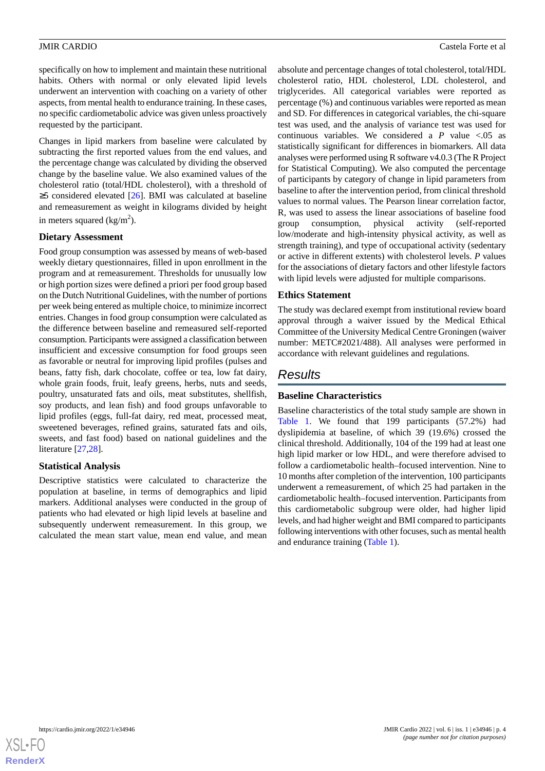specifically on how to implement and maintain these nutritional habits. Others with normal or only elevated lipid levels underwent an intervention with coaching on a variety of other aspects, from mental health to endurance training. In these cases, no specific cardiometabolic advice was given unless proactively requested by the participant.

Changes in lipid markers from baseline were calculated by subtracting the first reported values from the end values, and the percentage change was calculated by dividing the observed change by the baseline value. We also examined values of the cholesterol ratio (total/HDL cholesterol), with a threshold of ≥5 considered elevated [\[26](#page-10-11)]. BMI was calculated at baseline and remeasurement as weight in kilograms divided by height in meters squared  $\frac{\text{kg}}{m^2}$ ).

### **Dietary Assessment**

Food group consumption was assessed by means of web-based weekly dietary questionnaires, filled in upon enrollment in the program and at remeasurement. Thresholds for unusually low or high portion sizes were defined a priori per food group based on the Dutch Nutritional Guidelines, with the number of portions per week being entered as multiple choice, to minimize incorrect entries. Changes in food group consumption were calculated as the difference between baseline and remeasured self-reported consumption. Participants were assigned a classification between insufficient and excessive consumption for food groups seen as favorable or neutral for improving lipid profiles (pulses and beans, fatty fish, dark chocolate, coffee or tea, low fat dairy, whole grain foods, fruit, leafy greens, herbs, nuts and seeds, poultry, unsaturated fats and oils, meat substitutes, shellfish, soy products, and lean fish) and food groups unfavorable to lipid profiles (eggs, full-fat dairy, red meat, processed meat, sweetened beverages, refined grains, saturated fats and oils, sweets, and fast food) based on national guidelines and the literature [\[27](#page-10-12),[28\]](#page-10-13).

### **Statistical Analysis**

Descriptive statistics were calculated to characterize the population at baseline, in terms of demographics and lipid markers. Additional analyses were conducted in the group of patients who had elevated or high lipid levels at baseline and subsequently underwent remeasurement. In this group, we calculated the mean start value, mean end value, and mean

absolute and percentage changes of total cholesterol, total/HDL cholesterol ratio, HDL cholesterol, LDL cholesterol, and triglycerides. All categorical variables were reported as percentage (%) and continuous variables were reported as mean and SD. For differences in categorical variables, the chi-square test was used, and the analysis of variance test was used for continuous variables. We considered a  $P$  value  $\lt$ .05 as statistically significant for differences in biomarkers. All data analyses were performed using R software v4.0.3 (The R Project for Statistical Computing). We also computed the percentage of participants by category of change in lipid parameters from baseline to after the intervention period, from clinical threshold values to normal values. The Pearson linear correlation factor, R, was used to assess the linear associations of baseline food group consumption, physical activity (self-reported low/moderate and high-intensity physical activity, as well as strength training), and type of occupational activity (sedentary or active in different extents) with cholesterol levels. *P* values for the associations of dietary factors and other lifestyle factors with lipid levels were adjusted for multiple comparisons.

### **Ethics Statement**

The study was declared exempt from institutional review board approval through a waiver issued by the Medical Ethical Committee of the University Medical Centre Groningen (waiver number: METC#2021/488). All analyses were performed in accordance with relevant guidelines and regulations.

# *Results*

### **Baseline Characteristics**

Baseline characteristics of the total study sample are shown in [Table 1](#page-4-0). We found that 199 participants (57.2%) had dyslipidemia at baseline, of which 39 (19.6%) crossed the clinical threshold. Additionally, 104 of the 199 had at least one high lipid marker or low HDL, and were therefore advised to follow a cardiometabolic health–focused intervention. Nine to 10 months after completion of the intervention, 100 participants underwent a remeasurement, of which 25 had partaken in the cardiometabolic health–focused intervention. Participants from this cardiometabolic subgroup were older, had higher lipid levels, and had higher weight and BMI compared to participants following interventions with other focuses, such as mental health and endurance training [\(Table 1\)](#page-4-0).

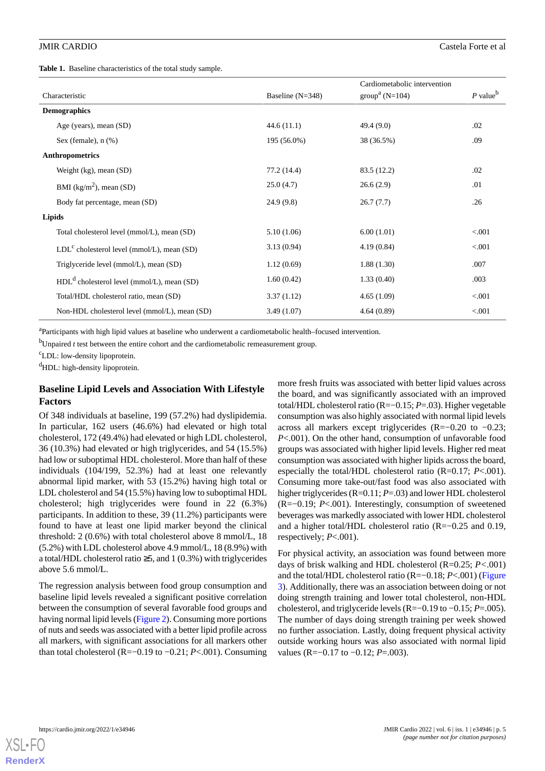<span id="page-4-0"></span>**Table 1.** Baseline characteristics of the total study sample.

|                     |                                               |                    | Cardiometabolic intervention |                        |
|---------------------|-----------------------------------------------|--------------------|------------------------------|------------------------|
| Characteristic      |                                               | Baseline $(N=348)$ | $groupa (N=104)$             | $P$ value <sup>b</sup> |
| <b>Demographics</b> |                                               |                    |                              |                        |
|                     | Age (years), mean (SD)                        | 44.6(11.1)         | 49.4(9.0)                    | .02                    |
|                     | Sex (female), $n$ $%$ )                       | 195 (56.0%)        | 38 (36.5%)                   | .09                    |
|                     | <b>Anthropometrics</b>                        |                    |                              |                        |
|                     | Weight $(kg)$ , mean $(SD)$                   | 77.2 (14.4)        | 83.5 (12.2)                  | .02                    |
|                     | BMI $(kg/m2)$ , mean (SD)                     | 25.0(4.7)          | 26.6(2.9)                    | .01                    |
|                     | Body fat percentage, mean (SD)                | 24.9(9.8)          | 26.7(7.7)                    | .26                    |
| Lipids              |                                               |                    |                              |                        |
|                     | Total cholesterol level (mmol/L), mean (SD)   | 5.10(1.06)         | 6.00(1.01)                   | < 0.001                |
|                     | $LDLc$ cholesterol level (mmol/L), mean (SD)  | 3.13(0.94)         | 4.19(0.84)                   | < 0.001                |
|                     | Triglyceride level (mmol/L), mean (SD)        | 1.12(0.69)         | 1.88(1.30)                   | .007                   |
|                     | $HDLd$ cholesterol level (mmol/L), mean (SD)  | 1.60(0.42)         | 1.33(0.40)                   | .003                   |
|                     | Total/HDL cholesterol ratio, mean (SD)        | 3.37(1.12)         | 4.65(1.09)                   | < 0.001                |
|                     | Non-HDL cholesterol level (mmol/L), mean (SD) | 3.49(1.07)         | 4.64(0.89)                   | < 0.001                |

<sup>a</sup>Participants with high lipid values at baseline who underwent a cardiometabolic health–focused intervention.

 $<sup>b</sup>$ Unpaired *t* test between the entire cohort and the cardiometabolic remeasurement group.</sup>

<sup>c</sup>LDL: low-density lipoprotein.

 $dHDL$ : high-density lipoprotein.

### **Baseline Lipid Levels and Association With Lifestyle Factors**

Of 348 individuals at baseline, 199 (57.2%) had dyslipidemia. In particular, 162 users (46.6%) had elevated or high total cholesterol, 172 (49.4%) had elevated or high LDL cholesterol, 36 (10.3%) had elevated or high triglycerides, and 54 (15.5%) had low or suboptimal HDL cholesterol. More than half of these individuals (104/199, 52.3%) had at least one relevantly abnormal lipid marker, with 53 (15.2%) having high total or LDL cholesterol and 54 (15.5%) having low to suboptimal HDL cholesterol; high triglycerides were found in 22 (6.3%) participants. In addition to these, 39 (11.2%) participants were found to have at least one lipid marker beyond the clinical threshold: 2 (0.6%) with total cholesterol above 8 mmol/L, 18 (5.2%) with LDL cholesterol above 4.9 mmol/L, 18 (8.9%) with a total/HDL cholesterol ratio  $\geq$ 5, and 1 (0.3%) with triglycerides above 5.6 mmol/L.

The regression analysis between food group consumption and baseline lipid levels revealed a significant positive correlation between the consumption of several favorable food groups and having normal lipid levels [\(Figure 2\)](#page-5-0). Consuming more portions of nuts and seeds was associated with a better lipid profile across all markers, with significant associations for all markers other than total cholesterol (R=−0.19 to −0.21; *P*<.001). Consuming

more fresh fruits was associated with better lipid values across the board, and was significantly associated with an improved total/HDL cholesterol ratio (R=−0.15; *P*=.03). Higher vegetable consumption was also highly associated with normal lipid levels across all markers except triglycerides (R=−0.20 to −0.23; *P*<.001). On the other hand, consumption of unfavorable food groups was associated with higher lipid levels. Higher red meat consumption was associated with higher lipids across the board, especially the total/HDL cholesterol ratio (R=0.17; *P*<.001). Consuming more take-out/fast food was also associated with higher triglycerides (R=0.11; *P*=.03) and lower HDL cholesterol (R=−0.19; *P*<.001). Interestingly, consumption of sweetened beverages was markedly associated with lower HDL cholesterol and a higher total/HDL cholesterol ratio (R=−0.25 and 0.19, respectively; *P*<.001).

For physical activity, an association was found between more days of brisk walking and HDL cholesterol (R=0.25; *P<*.001) and the total/HDL cholesterol ratio (R=−0.18; *P*<.001) ([Figure](#page-6-0) [3\)](#page-6-0). Additionally, there was an association between doing or not doing strength training and lower total cholesterol, non-HDL cholesterol, and triglyceride levels (R=−0.19 to −0.15; *P*=.005). The number of days doing strength training per week showed no further association. Lastly, doing frequent physical activity outside working hours was also associated with normal lipid values (R=−0.17 to −0.12; *P*=.003).

**[RenderX](http://www.renderx.com/)**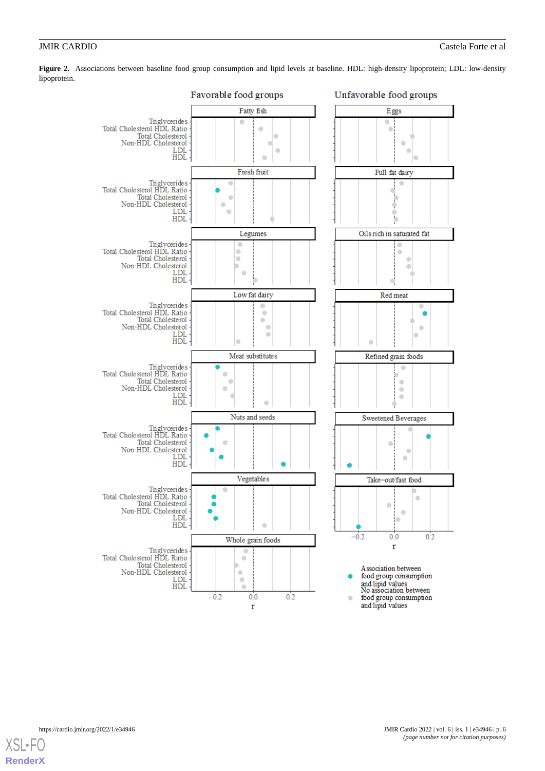

<span id="page-5-0"></span>**Figure 2.** Associations between baseline food group consumption and lipid levels at baseline. HDL: high-density lipoprotein; LDL: low-density lipoprotein.

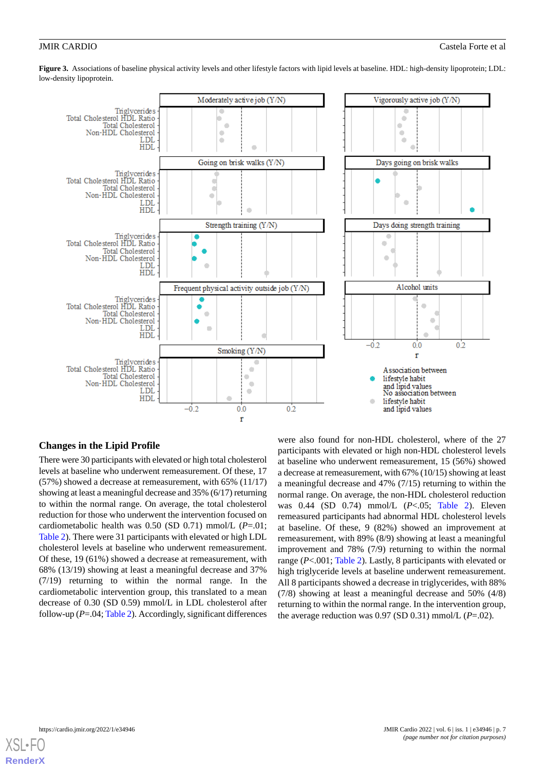<span id="page-6-0"></span>**Figure 3.** Associations of baseline physical activity levels and other lifestyle factors with lipid levels at baseline. HDL: high-density lipoprotein; LDL: low-density lipoprotein.



### **Changes in the Lipid Profile**

There were 30 participants with elevated or high total cholesterol levels at baseline who underwent remeasurement. Of these, 17 (57%) showed a decrease at remeasurement, with 65% (11/17) showing at least a meaningful decrease and 35% (6/17) returning to within the normal range. On average, the total cholesterol reduction for those who underwent the intervention focused on cardiometabolic health was 0.50 (SD 0.71) mmol/L (*P*=.01; [Table 2\)](#page-7-0). There were 31 participants with elevated or high LDL cholesterol levels at baseline who underwent remeasurement. Of these, 19 (61%) showed a decrease at remeasurement, with 68% (13/19) showing at least a meaningful decrease and 37% (7/19) returning to within the normal range. In the cardiometabolic intervention group, this translated to a mean decrease of 0.30 (SD 0.59) mmol/L in LDL cholesterol after follow-up (*P*=.04; [Table 2\)](#page-7-0). Accordingly, significant differences

were also found for non-HDL cholesterol, where of the 27 participants with elevated or high non-HDL cholesterol levels at baseline who underwent remeasurement, 15 (56%) showed a decrease at remeasurement, with 67% (10/15) showing at least a meaningful decrease and 47% (7/15) returning to within the normal range. On average, the non-HDL cholesterol reduction was 0.44 (SD 0.74) mmol/L (*P*<.05; [Table 2](#page-7-0)). Eleven remeasured participants had abnormal HDL cholesterol levels at baseline. Of these, 9 (82%) showed an improvement at remeasurement, with 89% (8/9) showing at least a meaningful improvement and 78% (7/9) returning to within the normal range (*P*<.001; [Table 2](#page-7-0)). Lastly, 8 participants with elevated or high triglyceride levels at baseline underwent remeasurement. All 8 participants showed a decrease in triglycerides, with 88% (7/8) showing at least a meaningful decrease and 50% (4/8) returning to within the normal range. In the intervention group, the average reduction was 0.97 (SD 0.31) mmol/L (*P*=.02).

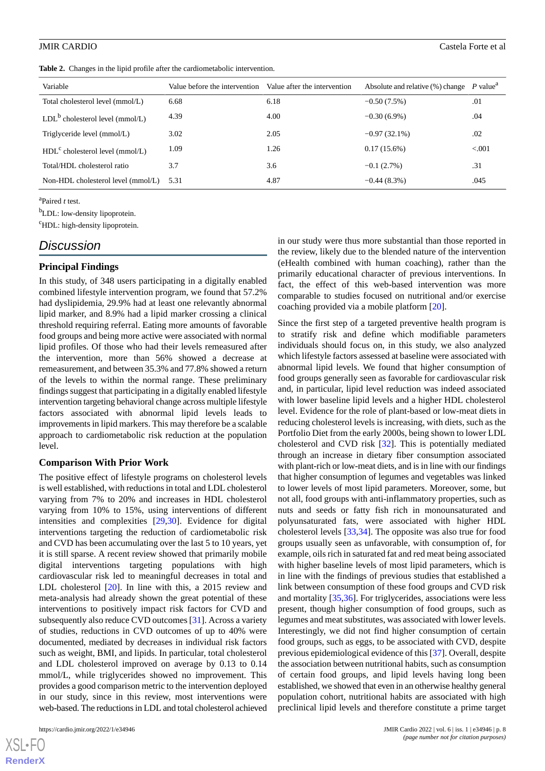<span id="page-7-0"></span>**Table 2.** Changes in the lipid profile after the cardiometabolic intervention.

| Variable                           | Value before the intervention Value after the intervention |      | Absolute and relative $(\%)$ change P value <sup>a</sup> |        |
|------------------------------------|------------------------------------------------------------|------|----------------------------------------------------------|--------|
| Total cholesterol level (mmol/L)   | 6.68                                                       | 6.18 | $-0.50(7.5%)$                                            | .01    |
| $LDLb$ cholesterol level (mmol/L)  | 4.39                                                       | 4.00 | $-0.30(6.9\%)$                                           | .04    |
| Triglyceride level (mmol/L)        | 3.02                                                       | 2.05 | $-0.97(32.1\%)$                                          | .02    |
| $HDLc$ cholesterol level (mmol/L)  | 1.09                                                       | 1.26 | $0.17(15.6\%)$                                           | < 0.01 |
| Total/HDL cholesterol ratio        | 3.7                                                        | 3.6  | $-0.1(2.7%)$                                             | .31    |
| Non-HDL cholesterol level (mmol/L) | 5.31                                                       | 4.87 | $-0.44(8.3\%)$                                           | .045   |

a Paired *t* test.

<sup>b</sup>LDL: low-density lipoprotein.

<sup>c</sup>HDL: high-density lipoprotein.

# *Discussion*

### **Principal Findings**

In this study, of 348 users participating in a digitally enabled combined lifestyle intervention program, we found that 57.2% had dyslipidemia, 29.9% had at least one relevantly abnormal lipid marker, and 8.9% had a lipid marker crossing a clinical threshold requiring referral. Eating more amounts of favorable food groups and being more active were associated with normal lipid profiles. Of those who had their levels remeasured after the intervention, more than 56% showed a decrease at remeasurement, and between 35.3% and 77.8% showed a return of the levels to within the normal range. These preliminary findings suggest that participating in a digitally enabled lifestyle intervention targeting behavioral change across multiple lifestyle factors associated with abnormal lipid levels leads to improvements in lipid markers. This may therefore be a scalable approach to cardiometabolic risk reduction at the population level.

### **Comparison With Prior Work**

The positive effect of lifestyle programs on cholesterol levels is well established, with reductions in total and LDL cholesterol varying from 7% to 20% and increases in HDL cholesterol varying from 10% to 15%, using interventions of different intensities and complexities [\[29](#page-10-14),[30\]](#page-10-15). Evidence for digital interventions targeting the reduction of cardiometabolic risk and CVD has been accumulating over the last 5 to 10 years, yet it is still sparse. A recent review showed that primarily mobile digital interventions targeting populations with high cardiovascular risk led to meaningful decreases in total and LDL cholesterol [[20\]](#page-10-5). In line with this, a 2015 review and meta-analysis had already shown the great potential of these interventions to positively impact risk factors for CVD and subsequently also reduce CVD outcomes [\[31](#page-10-16)]. Across a variety of studies, reductions in CVD outcomes of up to 40% were documented, mediated by decreases in individual risk factors such as weight, BMI, and lipids. In particular, total cholesterol and LDL cholesterol improved on average by 0.13 to 0.14 mmol/L, while triglycerides showed no improvement. This provides a good comparison metric to the intervention deployed in our study, since in this review, most interventions were web-based. The reductions in LDL and total cholesterol achieved

[XSL](http://www.w3.org/Style/XSL)•FO **[RenderX](http://www.renderx.com/)**

in our study were thus more substantial than those reported in the review, likely due to the blended nature of the intervention (eHealth combined with human coaching), rather than the primarily educational character of previous interventions. In fact, the effect of this web-based intervention was more comparable to studies focused on nutritional and/or exercise coaching provided via a mobile platform [\[20](#page-10-5)].

Since the first step of a targeted preventive health program is to stratify risk and define which modifiable parameters individuals should focus on, in this study, we also analyzed which lifestyle factors assessed at baseline were associated with abnormal lipid levels. We found that higher consumption of food groups generally seen as favorable for cardiovascular risk and, in particular, lipid level reduction was indeed associated with lower baseline lipid levels and a higher HDL cholesterol level. Evidence for the role of plant-based or low-meat diets in reducing cholesterol levels is increasing, with diets, such as the Portfolio Diet from the early 2000s, being shown to lower LDL cholesterol and CVD risk [\[32](#page-10-17)]. This is potentially mediated through an increase in dietary fiber consumption associated with plant-rich or low-meat diets, and is in line with our findings that higher consumption of legumes and vegetables was linked to lower levels of most lipid parameters. Moreover, some, but not all, food groups with anti-inflammatory properties, such as nuts and seeds or fatty fish rich in monounsaturated and polyunsaturated fats, were associated with higher HDL cholesterol levels [\[33](#page-11-0),[34\]](#page-11-1). The opposite was also true for food groups usually seen as unfavorable, with consumption of, for example, oils rich in saturated fat and red meat being associated with higher baseline levels of most lipid parameters, which is in line with the findings of previous studies that established a link between consumption of these food groups and CVD risk and mortality [\[35](#page-11-2),[36\]](#page-11-3). For triglycerides, associations were less present, though higher consumption of food groups, such as legumes and meat substitutes, was associated with lower levels. Interestingly, we did not find higher consumption of certain food groups, such as eggs, to be associated with CVD, despite previous epidemiological evidence of this [[37\]](#page-11-4). Overall, despite the association between nutritional habits, such as consumption of certain food groups, and lipid levels having long been established, we showed that even in an otherwise healthy general population cohort, nutritional habits are associated with high preclinical lipid levels and therefore constitute a prime target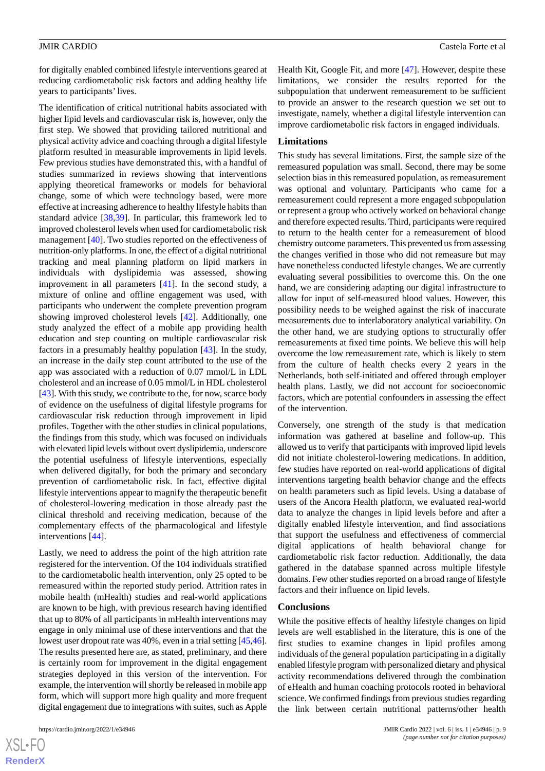for digitally enabled combined lifestyle interventions geared at reducing cardiometabolic risk factors and adding healthy life years to participants' lives.

The identification of critical nutritional habits associated with higher lipid levels and cardiovascular risk is, however, only the first step. We showed that providing tailored nutritional and physical activity advice and coaching through a digital lifestyle platform resulted in measurable improvements in lipid levels. Few previous studies have demonstrated this, with a handful of studies summarized in reviews showing that interventions applying theoretical frameworks or models for behavioral change, some of which were technology based, were more effective at increasing adherence to healthy lifestyle habits than standard advice [[38,](#page-11-5)[39](#page-11-6)]. In particular, this framework led to improved cholesterol levels when used for cardiometabolic risk management [\[40](#page-11-7)]. Two studies reported on the effectiveness of nutrition-only platforms. In one, the effect of a digital nutritional tracking and meal planning platform on lipid markers in individuals with dyslipidemia was assessed, showing improvement in all parameters [[41\]](#page-11-8). In the second study, a mixture of online and offline engagement was used, with participants who underwent the complete prevention program showing improved cholesterol levels [[42\]](#page-11-9). Additionally, one study analyzed the effect of a mobile app providing health education and step counting on multiple cardiovascular risk factors in a presumably healthy population [\[43](#page-11-10)]. In the study, an increase in the daily step count attributed to the use of the app was associated with a reduction of 0.07 mmol/L in LDL cholesterol and an increase of 0.05 mmol/L in HDL cholesterol [[43\]](#page-11-10). With this study, we contribute to the, for now, scarce body of evidence on the usefulness of digital lifestyle programs for cardiovascular risk reduction through improvement in lipid profiles. Together with the other studies in clinical populations, the findings from this study, which was focused on individuals with elevated lipid levels without overt dyslipidemia, underscore the potential usefulness of lifestyle interventions, especially when delivered digitally, for both the primary and secondary prevention of cardiometabolic risk. In fact, effective digital lifestyle interventions appear to magnify the therapeutic benefit of cholesterol-lowering medication in those already past the clinical threshold and receiving medication, because of the complementary effects of the pharmacological and lifestyle interventions [\[44](#page-11-11)].

Lastly, we need to address the point of the high attrition rate registered for the intervention. Of the 104 individuals stratified to the cardiometabolic health intervention, only 25 opted to be remeasured within the reported study period. Attrition rates in mobile health (mHealth) studies and real-world applications are known to be high, with previous research having identified that up to 80% of all participants in mHealth interventions may engage in only minimal use of these interventions and that the lowest user dropout rate was 40%, even in a trial setting [[45,](#page-11-12)[46\]](#page-11-13). The results presented here are, as stated, preliminary, and there is certainly room for improvement in the digital engagement strategies deployed in this version of the intervention. For example, the intervention will shortly be released in mobile app form, which will support more high quality and more frequent digital engagement due to integrations with suites, such as Apple

 $XS$  $\cdot$ FC **[RenderX](http://www.renderx.com/)** Health Kit, Google Fit, and more [\[47](#page-11-14)]. However, despite these limitations, we consider the results reported for the subpopulation that underwent remeasurement to be sufficient to provide an answer to the research question we set out to investigate, namely, whether a digital lifestyle intervention can improve cardiometabolic risk factors in engaged individuals.

### **Limitations**

This study has several limitations. First, the sample size of the remeasured population was small. Second, there may be some selection bias in this remeasured population, as remeasurement was optional and voluntary. Participants who came for a remeasurement could represent a more engaged subpopulation or represent a group who actively worked on behavioral change and therefore expected results. Third, participants were required to return to the health center for a remeasurement of blood chemistry outcome parameters. This prevented us from assessing the changes verified in those who did not remeasure but may have nonetheless conducted lifestyle changes. We are currently evaluating several possibilities to overcome this. On the one hand, we are considering adapting our digital infrastructure to allow for input of self-measured blood values. However, this possibility needs to be weighed against the risk of inaccurate measurements due to interlaboratory analytical variability. On the other hand, we are studying options to structurally offer remeasurements at fixed time points. We believe this will help overcome the low remeasurement rate, which is likely to stem from the culture of health checks every 2 years in the Netherlands, both self-initiated and offered through employer health plans. Lastly, we did not account for socioeconomic factors, which are potential confounders in assessing the effect of the intervention.

Conversely, one strength of the study is that medication information was gathered at baseline and follow-up. This allowed us to verify that participants with improved lipid levels did not initiate cholesterol-lowering medications. In addition, few studies have reported on real-world applications of digital interventions targeting health behavior change and the effects on health parameters such as lipid levels. Using a database of users of the Ancora Health platform, we evaluated real-world data to analyze the changes in lipid levels before and after a digitally enabled lifestyle intervention, and find associations that support the usefulness and effectiveness of commercial digital applications of health behavioral change for cardiometabolic risk factor reduction. Additionally, the data gathered in the database spanned across multiple lifestyle domains. Few other studies reported on a broad range of lifestyle factors and their influence on lipid levels.

### **Conclusions**

While the positive effects of healthy lifestyle changes on lipid levels are well established in the literature, this is one of the first studies to examine changes in lipid profiles among individuals of the general population participating in a digitally enabled lifestyle program with personalized dietary and physical activity recommendations delivered through the combination of eHealth and human coaching protocols rooted in behavioral science. We confirmed findings from previous studies regarding the link between certain nutritional patterns/other health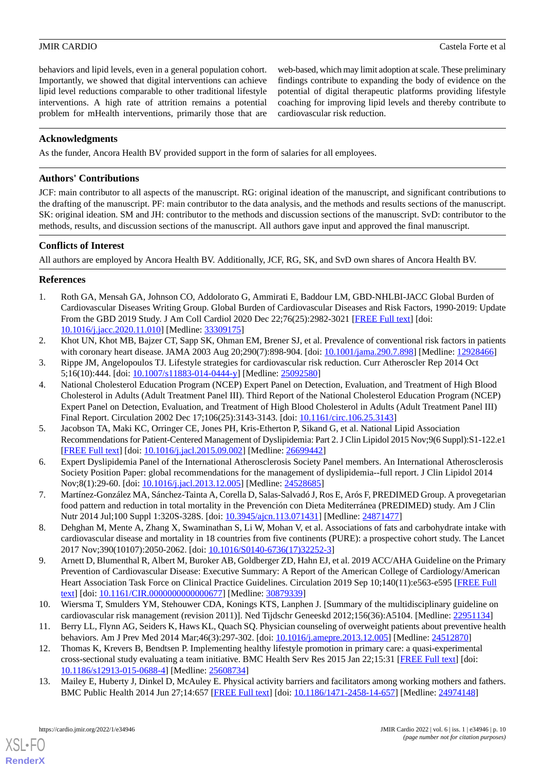behaviors and lipid levels, even in a general population cohort. Importantly, we showed that digital interventions can achieve lipid level reductions comparable to other traditional lifestyle interventions. A high rate of attrition remains a potential problem for mHealth interventions, primarily those that are web-based, which may limit adoption at scale. These preliminary findings contribute to expanding the body of evidence on the potential of digital therapeutic platforms providing lifestyle coaching for improving lipid levels and thereby contribute to cardiovascular risk reduction.

### **Acknowledgments**

As the funder, Ancora Health BV provided support in the form of salaries for all employees.

### **Authors' Contributions**

JCF: main contributor to all aspects of the manuscript. RG: original ideation of the manuscript, and significant contributions to the drafting of the manuscript. PF: main contributor to the data analysis, and the methods and results sections of the manuscript. SK: original ideation. SM and JH: contributor to the methods and discussion sections of the manuscript. SvD: contributor to the methods, results, and discussion sections of the manuscript. All authors gave input and approved the final manuscript.

### **Conflicts of Interest**

<span id="page-9-0"></span>All authors are employed by Ancora Health BV. Additionally, JCF, RG, SK, and SvD own shares of Ancora Health BV.

### **References**

- <span id="page-9-1"></span>1. Roth GA, Mensah GA, Johnson CO, Addolorato G, Ammirati E, Baddour LM, GBD-NHLBI-JACC Global Burden of Cardiovascular Diseases Writing Group. Global Burden of Cardiovascular Diseases and Risk Factors, 1990-2019: Update From the GBD 2019 Study. J Am Coll Cardiol 2020 Dec 22;76(25):2982-3021 [[FREE Full text](https://linkinghub.elsevier.com/retrieve/pii/S0735-1097(20)37775-5)] [doi: [10.1016/j.jacc.2020.11.010\]](http://dx.doi.org/10.1016/j.jacc.2020.11.010) [Medline: [33309175\]](http://www.ncbi.nlm.nih.gov/entrez/query.fcgi?cmd=Retrieve&db=PubMed&list_uids=33309175&dopt=Abstract)
- <span id="page-9-3"></span><span id="page-9-2"></span>2. Khot UN, Khot MB, Bajzer CT, Sapp SK, Ohman EM, Brener SJ, et al. Prevalence of conventional risk factors in patients with coronary heart disease. JAMA 2003 Aug 20;290(7):898-904. [doi: [10.1001/jama.290.7.898\]](http://dx.doi.org/10.1001/jama.290.7.898) [Medline: [12928466\]](http://www.ncbi.nlm.nih.gov/entrez/query.fcgi?cmd=Retrieve&db=PubMed&list_uids=12928466&dopt=Abstract)
- 3. Rippe JM, Angelopoulos TJ. Lifestyle strategies for cardiovascular risk reduction. Curr Atheroscler Rep 2014 Oct 5;16(10):444. [doi: [10.1007/s11883-014-0444-y](http://dx.doi.org/10.1007/s11883-014-0444-y)] [Medline: [25092580](http://www.ncbi.nlm.nih.gov/entrez/query.fcgi?cmd=Retrieve&db=PubMed&list_uids=25092580&dopt=Abstract)]
- <span id="page-9-4"></span>4. National Cholesterol Education Program (NCEP) Expert Panel on Detection, Evaluation, and Treatment of High Blood Cholesterol in Adults (Adult Treatment Panel III). Third Report of the National Cholesterol Education Program (NCEP) Expert Panel on Detection, Evaluation, and Treatment of High Blood Cholesterol in Adults (Adult Treatment Panel III) Final Report. Circulation 2002 Dec 17;106(25):3143-3143. [doi: [10.1161/circ.106.25.3143](http://dx.doi.org/10.1161/circ.106.25.3143)]
- <span id="page-9-5"></span>5. Jacobson TA, Maki KC, Orringer CE, Jones PH, Kris-Etherton P, Sikand G, et al. National Lipid Association Recommendations for Patient-Centered Management of Dyslipidemia: Part 2. J Clin Lipidol 2015 Nov;9(6 Suppl):S1-122.e1 [[FREE Full text](https://linkinghub.elsevier.com/retrieve/pii/S1933-2874(15)00380-3)] [doi: [10.1016/j.jacl.2015.09.002\]](http://dx.doi.org/10.1016/j.jacl.2015.09.002) [Medline: [26699442\]](http://www.ncbi.nlm.nih.gov/entrez/query.fcgi?cmd=Retrieve&db=PubMed&list_uids=26699442&dopt=Abstract)
- <span id="page-9-6"></span>6. Expert Dyslipidemia Panel of the International Atherosclerosis Society Panel members. An International Atherosclerosis Society Position Paper: global recommendations for the management of dyslipidemia--full report. J Clin Lipidol 2014 Nov;8(1):29-60. [doi: [10.1016/j.jacl.2013.12.005](http://dx.doi.org/10.1016/j.jacl.2013.12.005)] [Medline: [24528685\]](http://www.ncbi.nlm.nih.gov/entrez/query.fcgi?cmd=Retrieve&db=PubMed&list_uids=24528685&dopt=Abstract)
- <span id="page-9-7"></span>7. Martínez-González MA, Sánchez-Tainta A, Corella D, Salas-Salvadó J, Ros E, Arós F, PREDIMED Group. A provegetarian food pattern and reduction in total mortality in the Prevención con Dieta Mediterránea (PREDIMED) study. Am J Clin Nutr 2014 Jul;100 Suppl 1:320S-328S. [doi: [10.3945/ajcn.113.071431](http://dx.doi.org/10.3945/ajcn.113.071431)] [Medline: [24871477\]](http://www.ncbi.nlm.nih.gov/entrez/query.fcgi?cmd=Retrieve&db=PubMed&list_uids=24871477&dopt=Abstract)
- 8. Dehghan M, Mente A, Zhang X, Swaminathan S, Li W, Mohan V, et al. Associations of fats and carbohydrate intake with cardiovascular disease and mortality in 18 countries from five continents (PURE): a prospective cohort study. The Lancet 2017 Nov;390(10107):2050-2062. [doi: [10.1016/S0140-6736\(17\)32252-3](http://dx.doi.org/10.1016/S0140-6736(17)32252-3)]
- <span id="page-9-9"></span><span id="page-9-8"></span>9. Arnett D, Blumenthal R, Albert M, Buroker AB, Goldberger ZD, Hahn EJ, et al. 2019 ACC/AHA Guideline on the Primary Prevention of Cardiovascular Disease: Executive Summary: A Report of the American College of Cardiology/American Heart Association Task Force on Clinical Practice Guidelines. Circulation 2019 Sep 10;140(11):e563-e595 [[FREE Full](https://www.ahajournals.org/doi/abs/10.1161/CIR.0000000000000677?url_ver=Z39.88-2003&rfr_id=ori:rid:crossref.org&rfr_dat=cr_pub%3dpubmed) [text](https://www.ahajournals.org/doi/abs/10.1161/CIR.0000000000000677?url_ver=Z39.88-2003&rfr_id=ori:rid:crossref.org&rfr_dat=cr_pub%3dpubmed)] [doi: [10.1161/CIR.0000000000000677](http://dx.doi.org/10.1161/CIR.0000000000000677)] [Medline: [30879339\]](http://www.ncbi.nlm.nih.gov/entrez/query.fcgi?cmd=Retrieve&db=PubMed&list_uids=30879339&dopt=Abstract)
- <span id="page-9-10"></span>10. Wiersma T, Smulders YM, Stehouwer CDA, Konings KTS, Lanphen J. [Summary of the multidisciplinary guideline on cardiovascular risk management (revision 2011)]. Ned Tijdschr Geneeskd 2012;156(36):A5104. [Medline: [22951134](http://www.ncbi.nlm.nih.gov/entrez/query.fcgi?cmd=Retrieve&db=PubMed&list_uids=22951134&dopt=Abstract)]
- 11. Berry LL, Flynn AG, Seiders K, Haws KL, Quach SQ. Physician counseling of overweight patients about preventive health behaviors. Am J Prev Med 2014 Mar;46(3):297-302. [doi: [10.1016/j.amepre.2013.12.005](http://dx.doi.org/10.1016/j.amepre.2013.12.005)] [Medline: [24512870\]](http://www.ncbi.nlm.nih.gov/entrez/query.fcgi?cmd=Retrieve&db=PubMed&list_uids=24512870&dopt=Abstract)
- 12. Thomas K, Krevers B, Bendtsen P. Implementing healthy lifestyle promotion in primary care: a quasi-experimental cross-sectional study evaluating a team initiative. BMC Health Serv Res 2015 Jan 22;15:31 [\[FREE Full text\]](https://bmchealthservres.biomedcentral.com/articles/10.1186/s12913-015-0688-4) [doi: [10.1186/s12913-015-0688-4\]](http://dx.doi.org/10.1186/s12913-015-0688-4) [Medline: [25608734](http://www.ncbi.nlm.nih.gov/entrez/query.fcgi?cmd=Retrieve&db=PubMed&list_uids=25608734&dopt=Abstract)]
- 13. Mailey E, Huberty J, Dinkel D, McAuley E. Physical activity barriers and facilitators among working mothers and fathers. BMC Public Health 2014 Jun 27;14:657 [[FREE Full text](https://bmcpublichealth.biomedcentral.com/articles/10.1186/1471-2458-14-657)] [doi: [10.1186/1471-2458-14-657\]](http://dx.doi.org/10.1186/1471-2458-14-657) [Medline: [24974148](http://www.ncbi.nlm.nih.gov/entrez/query.fcgi?cmd=Retrieve&db=PubMed&list_uids=24974148&dopt=Abstract)]

[XSL](http://www.w3.org/Style/XSL)•FO **[RenderX](http://www.renderx.com/)**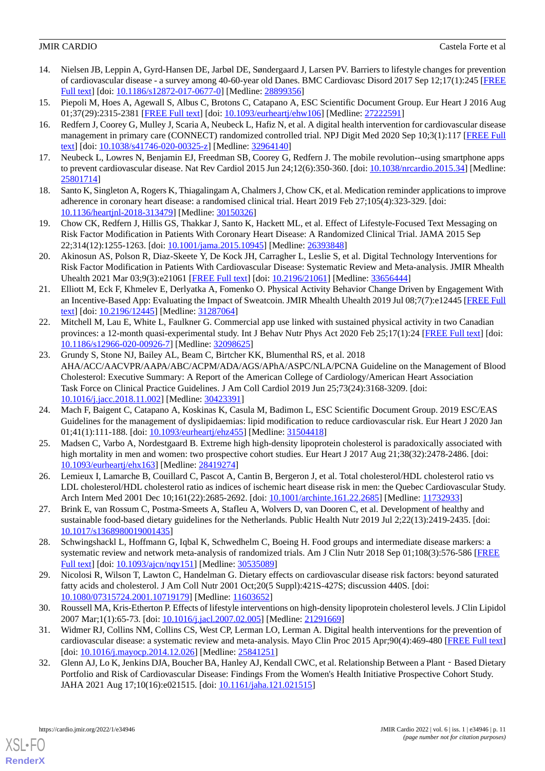- <span id="page-10-0"></span>14. Nielsen JB, Leppin A, Gyrd-Hansen DE, Jarbøl DE, Søndergaard J, Larsen PV. Barriers to lifestyle changes for prevention of cardiovascular disease - a survey among 40-60-year old Danes. BMC Cardiovasc Disord 2017 Sep 12;17(1):245 [\[FREE](https://bmccardiovascdisord.biomedcentral.com/articles/10.1186/s12872-017-0677-0) [Full text\]](https://bmccardiovascdisord.biomedcentral.com/articles/10.1186/s12872-017-0677-0) [doi: [10.1186/s12872-017-0677-0](http://dx.doi.org/10.1186/s12872-017-0677-0)] [Medline: [28899356](http://www.ncbi.nlm.nih.gov/entrez/query.fcgi?cmd=Retrieve&db=PubMed&list_uids=28899356&dopt=Abstract)]
- <span id="page-10-2"></span><span id="page-10-1"></span>15. Piepoli M, Hoes A, Agewall S, Albus C, Brotons C, Catapano A, ESC Scientific Document Group. Eur Heart J 2016 Aug 01;37(29):2315-2381 [[FREE Full text](http://europepmc.org/abstract/MED/27222591)] [doi: [10.1093/eurheartj/ehw106\]](http://dx.doi.org/10.1093/eurheartj/ehw106) [Medline: [27222591\]](http://www.ncbi.nlm.nih.gov/entrez/query.fcgi?cmd=Retrieve&db=PubMed&list_uids=27222591&dopt=Abstract)
- 16. Redfern J, Coorey G, Mulley J, Scaria A, Neubeck L, Hafiz N, et al. A digital health intervention for cardiovascular disease management in primary care (CONNECT) randomized controlled trial. NPJ Digit Med 2020 Sep 10;3(1):117 [[FREE Full](https://doi.org/10.1038/s41746-020-00325-z) [text](https://doi.org/10.1038/s41746-020-00325-z)] [doi: [10.1038/s41746-020-00325-z](http://dx.doi.org/10.1038/s41746-020-00325-z)] [Medline: [32964140\]](http://www.ncbi.nlm.nih.gov/entrez/query.fcgi?cmd=Retrieve&db=PubMed&list_uids=32964140&dopt=Abstract)
- <span id="page-10-4"></span><span id="page-10-3"></span>17. Neubeck L, Lowres N, Benjamin EJ, Freedman SB, Coorey G, Redfern J. The mobile revolution--using smartphone apps to prevent cardiovascular disease. Nat Rev Cardiol 2015 Jun 24;12(6):350-360. [doi: [10.1038/nrcardio.2015.34\]](http://dx.doi.org/10.1038/nrcardio.2015.34) [Medline: [25801714](http://www.ncbi.nlm.nih.gov/entrez/query.fcgi?cmd=Retrieve&db=PubMed&list_uids=25801714&dopt=Abstract)]
- 18. Santo K, Singleton A, Rogers K, Thiagalingam A, Chalmers J, Chow CK, et al. Medication reminder applications to improve adherence in coronary heart disease: a randomised clinical trial. Heart 2019 Feb 27;105(4):323-329. [doi: [10.1136/heartjnl-2018-313479](http://dx.doi.org/10.1136/heartjnl-2018-313479)] [Medline: [30150326\]](http://www.ncbi.nlm.nih.gov/entrez/query.fcgi?cmd=Retrieve&db=PubMed&list_uids=30150326&dopt=Abstract)
- <span id="page-10-5"></span>19. Chow CK, Redfern J, Hillis GS, Thakkar J, Santo K, Hackett ML, et al. Effect of Lifestyle-Focused Text Messaging on Risk Factor Modification in Patients With Coronary Heart Disease: A Randomized Clinical Trial. JAMA 2015 Sep 22;314(12):1255-1263. [doi: [10.1001/jama.2015.10945](http://dx.doi.org/10.1001/jama.2015.10945)] [Medline: [26393848\]](http://www.ncbi.nlm.nih.gov/entrez/query.fcgi?cmd=Retrieve&db=PubMed&list_uids=26393848&dopt=Abstract)
- <span id="page-10-6"></span>20. Akinosun AS, Polson R, Diaz-Skeete Y, De Kock JH, Carragher L, Leslie S, et al. Digital Technology Interventions for Risk Factor Modification in Patients With Cardiovascular Disease: Systematic Review and Meta-analysis. JMIR Mhealth Uhealth 2021 Mar 03;9(3):e21061 [[FREE Full text](https://mhealth.jmir.org/2021/3/e21061/)] [doi: [10.2196/21061\]](http://dx.doi.org/10.2196/21061) [Medline: [33656444\]](http://www.ncbi.nlm.nih.gov/entrez/query.fcgi?cmd=Retrieve&db=PubMed&list_uids=33656444&dopt=Abstract)
- <span id="page-10-7"></span>21. Elliott M, Eck F, Khmelev E, Derlyatka A, Fomenko O. Physical Activity Behavior Change Driven by Engagement With an Incentive-Based App: Evaluating the Impact of Sweatcoin. JMIR Mhealth Uhealth 2019 Jul 08;7(7):e12445 [\[FREE Full](https://mhealth.jmir.org/2019/7/e12445/) [text](https://mhealth.jmir.org/2019/7/e12445/)] [doi: [10.2196/12445\]](http://dx.doi.org/10.2196/12445) [Medline: [31287064\]](http://www.ncbi.nlm.nih.gov/entrez/query.fcgi?cmd=Retrieve&db=PubMed&list_uids=31287064&dopt=Abstract)
- <span id="page-10-8"></span>22. Mitchell M, Lau E, White L, Faulkner G. Commercial app use linked with sustained physical activity in two Canadian provinces: a 12-month quasi-experimental study. Int J Behav Nutr Phys Act 2020 Feb 25;17(1):24 [\[FREE Full text\]](https://ijbnpa.biomedcentral.com/articles/10.1186/s12966-020-00926-7) [doi: [10.1186/s12966-020-00926-7\]](http://dx.doi.org/10.1186/s12966-020-00926-7) [Medline: [32098625\]](http://www.ncbi.nlm.nih.gov/entrez/query.fcgi?cmd=Retrieve&db=PubMed&list_uids=32098625&dopt=Abstract)
- <span id="page-10-9"></span>23. Grundy S, Stone NJ, Bailey AL, Beam C, Birtcher KK, Blumenthal RS, et al. 2018 AHA/ACC/AACVPR/AAPA/ABC/ACPM/ADA/AGS/APhA/ASPC/NLA/PCNA Guideline on the Management of Blood Cholesterol: Executive Summary: A Report of the American College of Cardiology/American Heart Association Task Force on Clinical Practice Guidelines. J Am Coll Cardiol 2019 Jun 25;73(24):3168-3209. [doi: [10.1016/j.jacc.2018.11.002\]](http://dx.doi.org/10.1016/j.jacc.2018.11.002) [Medline: [30423391\]](http://www.ncbi.nlm.nih.gov/entrez/query.fcgi?cmd=Retrieve&db=PubMed&list_uids=30423391&dopt=Abstract)
- <span id="page-10-10"></span>24. Mach F, Baigent C, Catapano A, Koskinas K, Casula M, Badimon L, ESC Scientific Document Group. 2019 ESC/EAS Guidelines for the management of dyslipidaemias: lipid modification to reduce cardiovascular risk. Eur Heart J 2020 Jan 01;41(1):111-188. [doi: [10.1093/eurheartj/ehz455\]](http://dx.doi.org/10.1093/eurheartj/ehz455) [Medline: [31504418\]](http://www.ncbi.nlm.nih.gov/entrez/query.fcgi?cmd=Retrieve&db=PubMed&list_uids=31504418&dopt=Abstract)
- <span id="page-10-12"></span><span id="page-10-11"></span>25. Madsen C, Varbo A, Nordestgaard B. Extreme high high-density lipoprotein cholesterol is paradoxically associated with high mortality in men and women: two prospective cohort studies. Eur Heart J 2017 Aug 21;38(32):2478-2486. [doi: [10.1093/eurheartj/ehx163\]](http://dx.doi.org/10.1093/eurheartj/ehx163) [Medline: [28419274](http://www.ncbi.nlm.nih.gov/entrez/query.fcgi?cmd=Retrieve&db=PubMed&list_uids=28419274&dopt=Abstract)]
- <span id="page-10-13"></span>26. Lemieux I, Lamarche B, Couillard C, Pascot A, Cantin B, Bergeron J, et al. Total cholesterol/HDL cholesterol ratio vs LDL cholesterol/HDL cholesterol ratio as indices of ischemic heart disease risk in men: the Quebec Cardiovascular Study. Arch Intern Med 2001 Dec 10;161(22):2685-2692. [doi: [10.1001/archinte.161.22.2685](http://dx.doi.org/10.1001/archinte.161.22.2685)] [Medline: [11732933](http://www.ncbi.nlm.nih.gov/entrez/query.fcgi?cmd=Retrieve&db=PubMed&list_uids=11732933&dopt=Abstract)]
- <span id="page-10-14"></span>27. Brink E, van Rossum C, Postma-Smeets A, Stafleu A, Wolvers D, van Dooren C, et al. Development of healthy and sustainable food-based dietary guidelines for the Netherlands. Public Health Nutr 2019 Jul 2;22(13):2419-2435. [doi: [10.1017/s1368980019001435\]](http://dx.doi.org/10.1017/s1368980019001435)
- <span id="page-10-15"></span>28. Schwingshackl L, Hoffmann G, Iqbal K, Schwedhelm C, Boeing H. Food groups and intermediate disease markers: a systematic review and network meta-analysis of randomized trials. Am J Clin Nutr 2018 Sep 01;108(3):576-586 [\[FREE](http://europepmc.org/abstract/MED/30535089) [Full text\]](http://europepmc.org/abstract/MED/30535089) [doi: [10.1093/ajcn/nqy151\]](http://dx.doi.org/10.1093/ajcn/nqy151) [Medline: [30535089\]](http://www.ncbi.nlm.nih.gov/entrez/query.fcgi?cmd=Retrieve&db=PubMed&list_uids=30535089&dopt=Abstract)
- <span id="page-10-16"></span>29. Nicolosi R, Wilson T, Lawton C, Handelman G. Dietary effects on cardiovascular disease risk factors: beyond saturated fatty acids and cholesterol. J Am Coll Nutr 2001 Oct;20(5 Suppl):421S-427S; discussion 440S. [doi: [10.1080/07315724.2001.10719179\]](http://dx.doi.org/10.1080/07315724.2001.10719179) [Medline: [11603652\]](http://www.ncbi.nlm.nih.gov/entrez/query.fcgi?cmd=Retrieve&db=PubMed&list_uids=11603652&dopt=Abstract)
- <span id="page-10-17"></span>30. Roussell MA, Kris-Etherton P. Effects of lifestyle interventions on high-density lipoprotein cholesterol levels. J Clin Lipidol 2007 Mar;1(1):65-73. [doi: [10.1016/j.jacl.2007.02.005](http://dx.doi.org/10.1016/j.jacl.2007.02.005)] [Medline: [21291669\]](http://www.ncbi.nlm.nih.gov/entrez/query.fcgi?cmd=Retrieve&db=PubMed&list_uids=21291669&dopt=Abstract)
- 31. Widmer RJ, Collins NM, Collins CS, West CP, Lerman LO, Lerman A. Digital health interventions for the prevention of cardiovascular disease: a systematic review and meta-analysis. Mayo Clin Proc 2015 Apr;90(4):469-480 [\[FREE Full text](http://europepmc.org/abstract/MED/25841251)] [doi: [10.1016/j.mayocp.2014.12.026\]](http://dx.doi.org/10.1016/j.mayocp.2014.12.026) [Medline: [25841251](http://www.ncbi.nlm.nih.gov/entrez/query.fcgi?cmd=Retrieve&db=PubMed&list_uids=25841251&dopt=Abstract)]
- 32. Glenn AJ, Lo K, Jenkins DJA, Boucher BA, Hanley AJ, Kendall CWC, et al. Relationship Between a Plant Based Dietary Portfolio and Risk of Cardiovascular Disease: Findings From the Women's Health Initiative Prospective Cohort Study. JAHA 2021 Aug 17;10(16):e021515. [doi: [10.1161/jaha.121.021515](http://dx.doi.org/10.1161/jaha.121.021515)]

[XSL](http://www.w3.org/Style/XSL)•FO **[RenderX](http://www.renderx.com/)**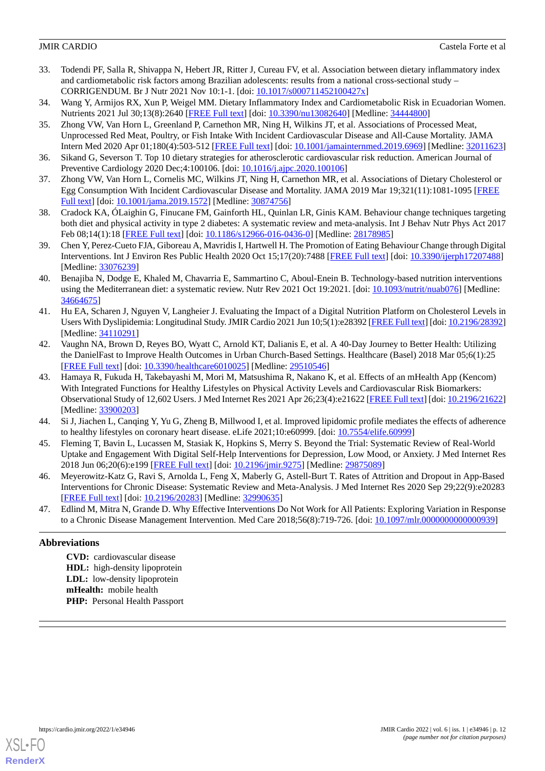- <span id="page-11-0"></span>33. Todendi PF, Salla R, Shivappa N, Hebert JR, Ritter J, Cureau FV, et al. Association between dietary inflammatory index and cardiometabolic risk factors among Brazilian adolescents: results from a national cross-sectional study – CORRIGENDUM. Br J Nutr 2021 Nov 10:1-1. [doi: [10.1017/s000711452100427x](http://dx.doi.org/10.1017/s000711452100427x)]
- <span id="page-11-2"></span><span id="page-11-1"></span>34. Wang Y, Armijos RX, Xun P, Weigel MM. Dietary Inflammatory Index and Cardiometabolic Risk in Ecuadorian Women. Nutrients 2021 Jul 30;13(8):2640 [[FREE Full text](https://www.mdpi.com/resolver?pii=nu13082640)] [doi: [10.3390/nu13082640\]](http://dx.doi.org/10.3390/nu13082640) [Medline: [34444800\]](http://www.ncbi.nlm.nih.gov/entrez/query.fcgi?cmd=Retrieve&db=PubMed&list_uids=34444800&dopt=Abstract)
- 35. Zhong VW, Van Horn L, Greenland P, Carnethon MR, Ning H, Wilkins JT, et al. Associations of Processed Meat, Unprocessed Red Meat, Poultry, or Fish Intake With Incident Cardiovascular Disease and All-Cause Mortality. JAMA Intern Med 2020 Apr 01;180(4):503-512 [[FREE Full text\]](http://europepmc.org/abstract/MED/32011623) [doi: [10.1001/jamainternmed.2019.6969](http://dx.doi.org/10.1001/jamainternmed.2019.6969)] [Medline: [32011623](http://www.ncbi.nlm.nih.gov/entrez/query.fcgi?cmd=Retrieve&db=PubMed&list_uids=32011623&dopt=Abstract)]
- <span id="page-11-4"></span><span id="page-11-3"></span>36. Sikand G, Severson T. Top 10 dietary strategies for atherosclerotic cardiovascular risk reduction. American Journal of Preventive Cardiology 2020 Dec;4:100106. [doi: [10.1016/j.ajpc.2020.100106](http://dx.doi.org/10.1016/j.ajpc.2020.100106)]
- <span id="page-11-5"></span>37. Zhong VW, Van Horn L, Cornelis MC, Wilkins JT, Ning H, Carnethon MR, et al. Associations of Dietary Cholesterol or Egg Consumption With Incident Cardiovascular Disease and Mortality. JAMA 2019 Mar 19;321(11):1081-1095 [\[FREE](http://europepmc.org/abstract/MED/30874756) [Full text\]](http://europepmc.org/abstract/MED/30874756) [doi: [10.1001/jama.2019.1572\]](http://dx.doi.org/10.1001/jama.2019.1572) [Medline: [30874756\]](http://www.ncbi.nlm.nih.gov/entrez/query.fcgi?cmd=Retrieve&db=PubMed&list_uids=30874756&dopt=Abstract)
- <span id="page-11-6"></span>38. Cradock KA, ÓLaighin G, Finucane FM, Gainforth HL, Quinlan LR, Ginis KAM. Behaviour change techniques targeting both diet and physical activity in type 2 diabetes: A systematic review and meta-analysis. Int J Behav Nutr Phys Act 2017 Feb 08;14(1):18 [\[FREE Full text\]](https://ijbnpa.biomedcentral.com/articles/10.1186/s12966-016-0436-0) [doi: [10.1186/s12966-016-0436-0\]](http://dx.doi.org/10.1186/s12966-016-0436-0) [Medline: [28178985\]](http://www.ncbi.nlm.nih.gov/entrez/query.fcgi?cmd=Retrieve&db=PubMed&list_uids=28178985&dopt=Abstract)
- <span id="page-11-7"></span>39. Chen Y, Perez-Cueto FJA, Giboreau A, Mavridis I, Hartwell H. The Promotion of Eating Behaviour Change through Digital Interventions. Int J Environ Res Public Health 2020 Oct 15;17(20):7488 [[FREE Full text](https://www.mdpi.com/resolver?pii=ijerph17207488)] [doi: [10.3390/ijerph17207488\]](http://dx.doi.org/10.3390/ijerph17207488) [Medline: [33076239](http://www.ncbi.nlm.nih.gov/entrez/query.fcgi?cmd=Retrieve&db=PubMed&list_uids=33076239&dopt=Abstract)]
- <span id="page-11-8"></span>40. Benajiba N, Dodge E, Khaled M, Chavarria E, Sammartino C, Aboul-Enein B. Technology-based nutrition interventions using the Mediterranean diet: a systematic review. Nutr Rev 2021 Oct 19:2021. [doi: [10.1093/nutrit/nuab076](http://dx.doi.org/10.1093/nutrit/nuab076)] [Medline: [34664675](http://www.ncbi.nlm.nih.gov/entrez/query.fcgi?cmd=Retrieve&db=PubMed&list_uids=34664675&dopt=Abstract)]
- <span id="page-11-9"></span>41. Hu EA, Scharen J, Nguyen V, Langheier J. Evaluating the Impact of a Digital Nutrition Platform on Cholesterol Levels in Users With Dyslipidemia: Longitudinal Study. JMIR Cardio 2021 Jun 10;5(1):e28392 [[FREE Full text](https://cardio.jmir.org/2021/1/e28392/)] [doi: [10.2196/28392\]](http://dx.doi.org/10.2196/28392) [Medline: [34110291](http://www.ncbi.nlm.nih.gov/entrez/query.fcgi?cmd=Retrieve&db=PubMed&list_uids=34110291&dopt=Abstract)]
- <span id="page-11-10"></span>42. Vaughn NA, Brown D, Reyes BO, Wyatt C, Arnold KT, Dalianis E, et al. A 40-Day Journey to Better Health: Utilizing the DanielFast to Improve Health Outcomes in Urban Church-Based Settings. Healthcare (Basel) 2018 Mar 05;6(1):25 [[FREE Full text](https://www.mdpi.com/resolver?pii=healthcare6010025)] [doi: [10.3390/healthcare6010025\]](http://dx.doi.org/10.3390/healthcare6010025) [Medline: [29510546\]](http://www.ncbi.nlm.nih.gov/entrez/query.fcgi?cmd=Retrieve&db=PubMed&list_uids=29510546&dopt=Abstract)
- <span id="page-11-11"></span>43. Hamaya R, Fukuda H, Takebayashi M, Mori M, Matsushima R, Nakano K, et al. Effects of an mHealth App (Kencom) With Integrated Functions for Healthy Lifestyles on Physical Activity Levels and Cardiovascular Risk Biomarkers: Observational Study of 12,602 Users. J Med Internet Res 2021 Apr 26;23(4):e21622 [[FREE Full text](https://www.jmir.org/2021/4/e21622/)] [doi: [10.2196/21622](http://dx.doi.org/10.2196/21622)] [Medline: [33900203](http://www.ncbi.nlm.nih.gov/entrez/query.fcgi?cmd=Retrieve&db=PubMed&list_uids=33900203&dopt=Abstract)]
- <span id="page-11-13"></span><span id="page-11-12"></span>44. Si J, Jiachen L, Canqing Y, Yu G, Zheng B, Millwood I, et al. Improved lipidomic profile mediates the effects of adherence to healthy lifestyles on coronary heart disease. eLife 2021;10:e60999. [doi: [10.7554/elife.60999\]](http://dx.doi.org/10.7554/elife.60999)
- <span id="page-11-14"></span>45. Fleming T, Bavin L, Lucassen M, Stasiak K, Hopkins S, Merry S. Beyond the Trial: Systematic Review of Real-World Uptake and Engagement With Digital Self-Help Interventions for Depression, Low Mood, or Anxiety. J Med Internet Res 2018 Jun 06;20(6):e199 [[FREE Full text](https://www.jmir.org/2018/6/e199/)] [doi: [10.2196/jmir.9275](http://dx.doi.org/10.2196/jmir.9275)] [Medline: [29875089](http://www.ncbi.nlm.nih.gov/entrez/query.fcgi?cmd=Retrieve&db=PubMed&list_uids=29875089&dopt=Abstract)]
- 46. Meyerowitz-Katz G, Ravi S, Arnolda L, Feng X, Maberly G, Astell-Burt T. Rates of Attrition and Dropout in App-Based Interventions for Chronic Disease: Systematic Review and Meta-Analysis. J Med Internet Res 2020 Sep 29;22(9):e20283 [[FREE Full text](https://www.jmir.org/2020/9/e20283/)] [doi: [10.2196/20283\]](http://dx.doi.org/10.2196/20283) [Medline: [32990635\]](http://www.ncbi.nlm.nih.gov/entrez/query.fcgi?cmd=Retrieve&db=PubMed&list_uids=32990635&dopt=Abstract)
- 47. Edlind M, Mitra N, Grande D. Why Effective Interventions Do Not Work for All Patients: Exploring Variation in Response to a Chronic Disease Management Intervention. Med Care 2018;56(8):719-726. [doi: [10.1097/mlr.0000000000000939\]](http://dx.doi.org/10.1097/mlr.0000000000000939)

### **Abbreviations**

**CVD:** cardiovascular disease **HDL:** high-density lipoprotein **LDL:** low-density lipoprotein **mHealth:** mobile health **PHP:** Personal Health Passport